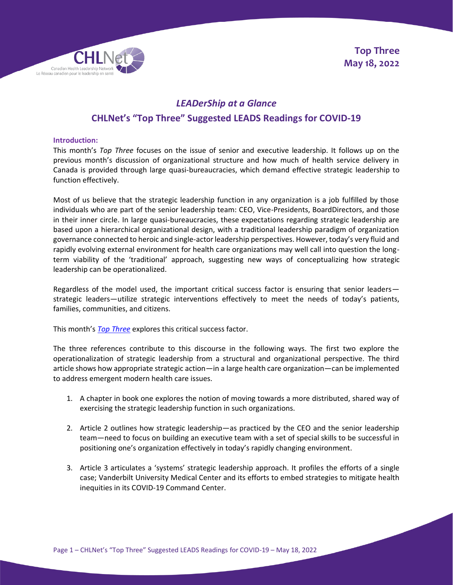

# *LEADerShip at a Glance* **CHLNet's "Top Three" Suggested LEADS Readings for COVID-19**

# **Introduction:**

This month's *Top Three* focuses on the issue of senior and executive leadership. It follows up on the previous month's discussion of organizational structure and how much of health service delivery in Canada is provided through large quasi-bureaucracies, which demand effective strategic leadership to function effectively.

Most of us believe that the strategic leadership function in any organization is a job fulfilled by those individuals who are part of the senior leadership team: CEO, Vice-Presidents, BoardDirectors, and those in their inner circle. In large quasi-bureaucracies, these expectations regarding strategic leadership are based upon a hierarchical organizational design, with a traditional leadership paradigm of organization governance connected to heroic and single-actor leadership perspectives. However, today's very fluid and rapidly evolving external environment for health care organizations may well call into question the longterm viability of the 'traditional' approach, suggesting new ways of conceptualizing how strategic leadership can be operationalized.

Regardless of the model used, the important critical success factor is ensuring that senior leaders strategic leaders—utilize strategic interventions effectively to meet the needs of today's patients, families, communities, and citizens.

This month's *[Top Three](https://chlnet.ca/covid-19)* explores this critical success factor.

The three references contribute to this discourse in the following ways. The first two explore the operationalization of strategic leadership from a structural and organizational perspective. The third article shows how appropriate strategic action—in a large health care organization—can be implemented to address emergent modern health care issues.

- 1. A chapter in book one explores the notion of moving towards a more distributed, shared way of exercising the strategic leadership function in such organizations.
- 2. Article 2 outlines how strategic leadership—as practiced by the CEO and the senior leadership team—need to focus on building an executive team with a set of special skills to be successful in positioning one's organization effectively in today's rapidly changing environment.
- 3. Article 3 articulates a 'systems' strategic leadership approach. It profiles the efforts of a single case; Vanderbilt University Medical Center and its efforts to embed strategies to mitigate health inequities in its COVID-19 Command Center.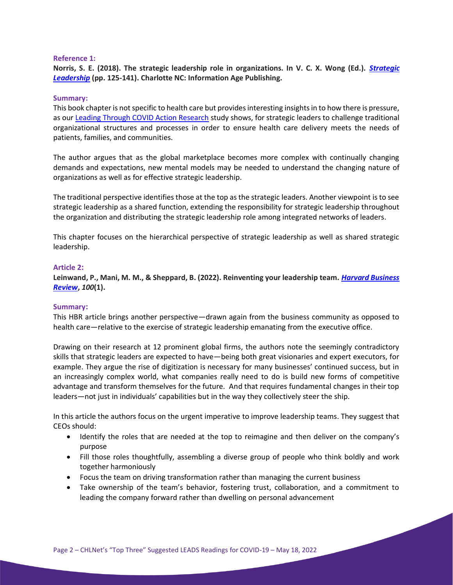# **Reference 1:**

**Norris, S. E. (2018). The strategic leadership role in organizations. In V. C. X. Wong (Ed.).** *[Strategic](https://www.worldcat.org/title/strategic-leadership/oclc/1013993217)  [Leadership](https://www.worldcat.org/title/strategic-leadership/oclc/1013993217)* **(pp. 125-141). Charlotte NC: Information Age Publishing.**

## **Summary:**

This book chapter is not specific to health care but provides interesting insights in to how there is pressure, as our [Leading Through COVID Action Research](https://chlnet.ca/leading-thru-covid-phase-i-complete-2) study shows, for strategic leaders to challenge traditional organizational structures and processes in order to ensure health care delivery meets the needs of patients, families, and communities.

The author argues that as the global marketplace becomes more complex with continually changing demands and expectations, new mental models may be needed to understand the changing nature of organizations as well as for effective strategic leadership.

The traditional perspective identifies those at the top as the strategic leaders. Another viewpoint is to see strategic leadership as a shared function, extending the responsibility for strategic leadership throughout the organization and distributing the strategic leadership role among integrated networks of leaders.

This chapter focuses on the hierarchical perspective of strategic leadership as well as shared strategic leadership.

## **Article 2:**

**Leinwand, P., Mani, M. M., & Sheppard, B. (2022). Reinventing your leadership team.** *[Harvard Business](https://hbr.org/2022/01/reinventing-your-leadership-team)  [Review](https://hbr.org/2022/01/reinventing-your-leadership-team)***,** *100***(1).**

#### **Summary:**

This HBR article brings another perspective—drawn again from the business community as opposed to health care—relative to the exercise of strategic leadership emanating from the executive office.

Drawing on their research at 12 prominent global firms, the authors note the seemingly contradictory skills that strategic leaders are expected to have—being both great visionaries and expert executors, for example. They argue the rise of digitization is necessary for many businesses' continued success, but in an increasingly complex world, what companies really need to do is build new forms of competitive advantage and transform themselves for the future. And that requires fundamental changes in their top leaders—not just in individuals' capabilities but in the way they collectively steer the ship.

In this article the authors focus on the urgent imperative to improve leadership teams. They suggest that CEOs should:

- Identify the roles that are needed at the top to reimagine and then deliver on the company's purpose
- Fill those roles thoughtfully, assembling a diverse group of people who think boldly and work together harmoniously
- Focus the team on driving transformation rather than managing the current business
- Take ownership of the team's behavior, fostering trust, collaboration, and a commitment to leading the company forward rather than dwelling on personal advancement